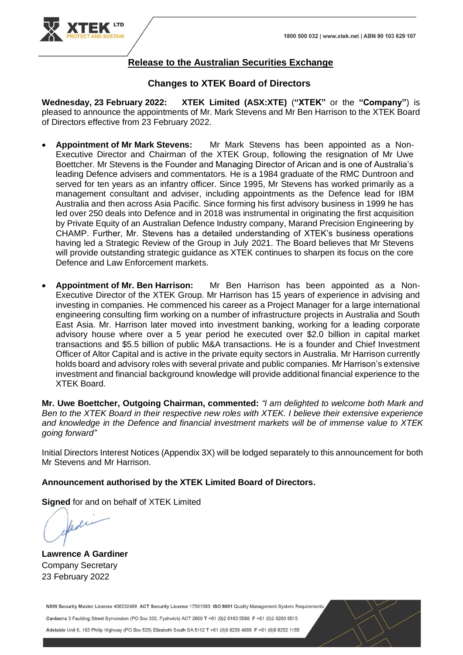

## **Release to the Australian Securities Exchange**

## **Changes to XTEK Board of Directors**

**Wednesday, 23 February 2022: XTEK Limited (ASX:XTE)** (**"XTEK"** or the **"Company"**) is pleased to announce the appointments of Mr. Mark Stevens and Mr Ben Harrison to the XTEK Board of Directors effective from 23 February 2022.

- **Appointment of Mr Mark Stevens:** Mr Mark Stevens has been appointed as a Non-Executive Director and Chairman of the XTEK Group, following the resignation of Mr Uwe Boettcher. Mr Stevens is the Founder and Managing Director of Arican and is one of Australia's leading Defence advisers and commentators. He is a 1984 graduate of the RMC Duntroon and served for ten years as an infantry officer. Since 1995, Mr Stevens has worked primarily as a management consultant and adviser, including appointments as the Defence lead for IBM Australia and then across Asia Pacific. Since forming his first advisory business in 1999 he has led over 250 deals into Defence and in 2018 was instrumental in originating the first acquisition by Private Equity of an Australian Defence Industry company, Marand Precision Engineering by CHAMP. Further, Mr. Stevens has a detailed understanding of XTEK's business operations having led a Strategic Review of the Group in July 2021. The Board believes that Mr Stevens will provide outstanding strategic guidance as XTEK continues to sharpen its focus on the core Defence and Law Enforcement markets.
- **Appointment of Mr. Ben Harrison:** Mr Ben Harrison has been appointed as a Non-Executive Director of the XTEK Group. Mr Harrison has 15 years of experience in advising and investing in companies. He commenced his career as a Project Manager for a large international engineering consulting firm working on a number of infrastructure projects in Australia and South East Asia. Mr. Harrison later moved into investment banking, working for a leading corporate advisory house where over a 5 year period he executed over \$2.0 billion in capital market transactions and \$5.5 billion of public M&A transactions. He is a founder and Chief Investment Officer of Altor Capital and is active in the private equity sectors in Australia. Mr Harrison currently holds board and advisory roles with several private and public companies. Mr Harrison's extensive investment and financial background knowledge will provide additional financial experience to the XTEK Board.

**Mr. Uwe Boettcher, Outgoing Chairman, commented:** *"I am delighted to welcome both Mark and Ben to the XTEK Board in their respective new roles with XTEK. I believe their extensive experience and knowledge in the Defence and financial investment markets will be of immense value to XTEK going forward"*

Initial Directors Interest Notices (Appendix 3X) will be lodged separately to this announcement for both Mr Stevens and Mr Harrison.

## **Announcement authorised by the XTEK Limited Board of Directors.**

**Signed** for and on behalf of XTEK Limited

 $\mu$ 

**Lawrence A Gardiner** Company Secretary 23 February 2022

NSW Security Master License 408232489 ACT Security License 17501563 ISO 9001 Quality Management System Requirements

Canberra 3 Faulding Street Symonston (PO Box 333, Fyshwick) ACT 2609 T +61 (0)2 6163 5588 F +61 (0)2 6280 6515

Adelaide Unit 6, 183 Philip Highway (PO Box 525) Elizabeth South SA 5112 T +61 (0)8 8256 4888 F +61 (0)8 8252 1155